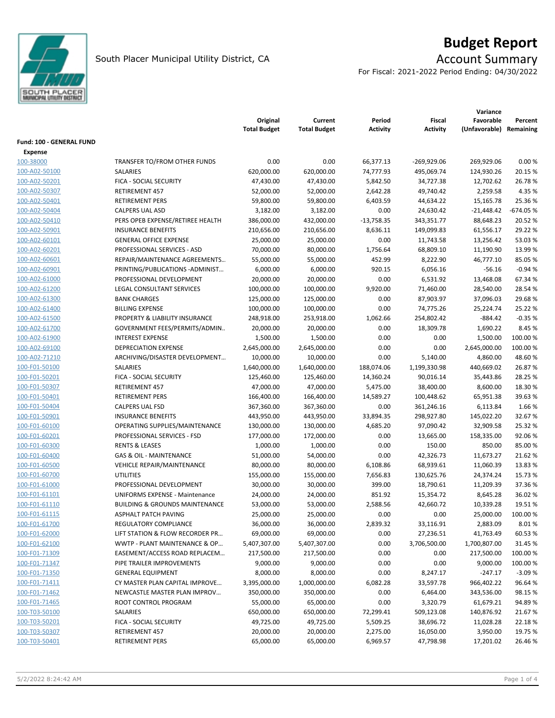

# **Budget Report**

For Fiscal: 2021-2022 Period Ending: 04/30/2022

|                          |                                           | Original<br><b>Total Budget</b> | Current<br><b>Total Budget</b> | Period<br>Activity | Fiscal<br><b>Activity</b> | Variance<br>Favorable<br>(Unfavorable) | Percent<br>Remaining |
|--------------------------|-------------------------------------------|---------------------------------|--------------------------------|--------------------|---------------------------|----------------------------------------|----------------------|
| Fund: 100 - GENERAL FUND |                                           |                                 |                                |                    |                           |                                        |                      |
| <b>Expense</b>           |                                           |                                 |                                |                    |                           |                                        |                      |
| 100-38000                | TRANSFER TO/FROM OTHER FUNDS              | 0.00                            | 0.00                           | 66,377.13          | $-269,929.06$             | 269,929.06                             | 0.00%                |
| 100-A02-50100            | SALARIES                                  | 620,000.00                      | 620,000.00                     | 74,777.93          | 495,069.74                | 124,930.26                             | 20.15 %              |
| 100-A02-50201            | FICA - SOCIAL SECURITY                    | 47,430.00                       | 47,430.00                      | 5,842.50           | 34,727.38                 | 12,702.62                              | 26.78%               |
| 100-A02-50307            | <b>RETIREMENT 457</b>                     | 52,000.00                       | 52,000.00                      | 2,642.28           | 49,740.42                 | 2,259.58                               | 4.35 %               |
| 100-A02-50401            | <b>RETIREMENT PERS</b>                    | 59,800.00                       | 59,800.00                      | 6,403.59           | 44,634.22                 | 15,165.78                              | 25.36%               |
| 100-A02-50404            | <b>CALPERS UAL ASD</b>                    | 3,182.00                        | 3,182.00                       | 0.00               | 24,630.42                 | $-21,448.42$                           | $-674.05%$           |
| 100-A02-50410            | PERS OPEB EXPENSE/RETIREE HEALTH          | 386,000.00                      | 432,000.00                     | $-13,758.35$       | 343,351.77                | 88,648.23                              | 20.52 %              |
| 100-A02-50901            | <b>INSURANCE BENEFITS</b>                 | 210,656.00                      | 210,656.00                     | 8,636.11           | 149,099.83                | 61,556.17                              | 29.22 %              |
| 100-A02-60101            | <b>GENERAL OFFICE EXPENSE</b>             | 25,000.00                       | 25,000.00                      | 0.00               | 11,743.58                 | 13,256.42                              | 53.03%               |
| 100-A02-60201            | PROFESSIONAL SERVICES - ASD               | 70,000.00                       | 80,000.00                      | 1,756.64           | 68,809.10                 | 11,190.90                              | 13.99%               |
| 100-A02-60601            | REPAIR/MAINTENANCE AGREEMENTS             | 55,000.00                       | 55,000.00                      | 452.99             | 8,222.90                  | 46,777.10                              | 85.05%               |
| 100-A02-60901            | PRINTING/PUBLICATIONS - ADMINIST          | 6,000.00                        | 6,000.00                       | 920.15             | 6,056.16                  | $-56.16$                               | $-0.94%$             |
| 100-A02-61000            | PROFESSIONAL DEVELOPMENT                  |                                 | 20,000.00                      | 0.00               | 6,531.92                  | 13,468.08                              | 67.34 %              |
|                          |                                           | 20,000.00                       |                                |                    |                           |                                        |                      |
| 100-A02-61200            | LEGAL CONSULTANT SERVICES                 | 100,000.00                      | 100,000.00                     | 9,920.00           | 71,460.00                 | 28,540.00                              | 28.54 %              |
| 100-A02-61300            | <b>BANK CHARGES</b>                       | 125,000.00                      | 125,000.00                     | 0.00               | 87,903.97                 | 37,096.03                              | 29.68%               |
| 100-A02-61400            | <b>BILLING EXPENSE</b>                    | 100,000.00                      | 100,000.00                     | 0.00               | 74,775.26                 | 25,224.74                              | 25.22 %              |
| 100-A02-61500            | PROPERTY & LIABILITY INSURANCE            | 248,918.00                      | 253,918.00                     | 1,062.66           | 254,802.42                | $-884.42$                              | $-0.35%$             |
| 100-A02-61700            | GOVERNMENT FEES/PERMITS/ADMIN             | 20,000.00                       | 20,000.00                      | 0.00               | 18,309.78                 | 1,690.22                               | 8.45 %               |
| 100-A02-61900            | <b>INTEREST EXPENSE</b>                   | 1,500.00                        | 1,500.00                       | 0.00               | 0.00                      | 1,500.00                               | 100.00 %             |
| 100-A02-69100            | <b>DEPRECIATION EXPENSE</b>               | 2,645,000.00                    | 2,645,000.00                   | 0.00               | 0.00                      | 2,645,000.00                           | 100.00%              |
| 100-A02-71210            | ARCHIVING/DISASTER DEVELOPMENT            | 10,000.00                       | 10,000.00                      | 0.00               | 5,140.00                  | 4,860.00                               | 48.60%               |
| 100-F01-50100            | SALARIES                                  | 1,640,000.00                    | 1,640,000.00                   | 188,074.06         | 1,199,330.98              | 440,669.02                             | 26.87%               |
| 100-F01-50201            | FICA - SOCIAL SECURITY                    | 125,460.00                      | 125,460.00                     | 14,360.24          | 90,016.14                 | 35,443.86                              | 28.25 %              |
| 100-F01-50307            | <b>RETIREMENT 457</b>                     | 47,000.00                       | 47,000.00                      | 5,475.00           | 38,400.00                 | 8,600.00                               | 18.30%               |
| 100-F01-50401            | <b>RETIREMENT PERS</b>                    | 166,400.00                      | 166,400.00                     | 14,589.27          | 100,448.62                | 65,951.38                              | 39.63%               |
| 100-F01-50404            | <b>CALPERS UAL FSD</b>                    | 367,360.00                      | 367,360.00                     | 0.00               | 361,246.16                | 6,113.84                               | 1.66 %               |
| 100-F01-50901            | <b>INSURANCE BENEFITS</b>                 | 443,950.00                      | 443,950.00                     | 33,894.35          | 298,927.80                | 145,022.20                             | 32.67%               |
| 100-F01-60100            | OPERATING SUPPLIES/MAINTENANCE            | 130,000.00                      | 130,000.00                     | 4,685.20           | 97,090.42                 | 32,909.58                              | 25.32 %              |
| 100-F01-60201            | PROFESSIONAL SERVICES - FSD               | 177,000.00                      | 172,000.00                     | 0.00               | 13,665.00                 | 158,335.00                             | 92.06%               |
| 100-F01-60300            | <b>RENTS &amp; LEASES</b>                 | 1,000.00                        | 1,000.00                       | 0.00               | 150.00                    | 850.00                                 | 85.00%               |
| 100-F01-60400            | <b>GAS &amp; OIL - MAINTENANCE</b>        | 51,000.00                       | 54,000.00                      | 0.00               | 42,326.73                 | 11,673.27                              | 21.62%               |
| 100-F01-60500            | <b>VEHICLE REPAIR/MAINTENANCE</b>         | 80,000.00                       | 80,000.00                      | 6,108.86           | 68,939.61                 | 11,060.39                              | 13.83 %              |
| 100-F01-60700            | <b>UTILITIES</b>                          | 155,000.00                      | 155,000.00                     | 7,656.83           | 130,625.76                | 24,374.24                              | 15.73 %              |
| 100-F01-61000            | PROFESSIONAL DEVELOPMENT                  | 30,000.00                       | 30,000.00                      | 399.00             | 18,790.61                 | 11,209.39                              | 37.36%               |
| 100-F01-61101            | UNIFORMS EXPENSE - Maintenance            | 24,000.00                       | 24,000.00                      | 851.92             | 15,354.72                 | 8,645.28                               | 36.02%               |
| 100-F01-61110            | <b>BUILDING &amp; GROUNDS MAINTENANCE</b> | 53,000.00                       | 53,000.00                      | 2,588.56           | 42,660.72                 | 10,339.28                              | 19.51%               |
| 100-F01-61115            | ASPHALT PATCH PAVING                      | 25,000.00                       | 25,000.00                      | 0.00               | 0.00                      | 25,000.00                              | 100.00 %             |
| 100-F01-61700            | REGULATORY COMPLIANCE                     | 36,000.00                       | 36,000.00                      | 2,839.32           | 33,116.91                 | 2,883.09                               | 8.01%                |
| 100-F01-62000            | LIFT STATION & FLOW RECORDER PR           | 69,000.00                       | 69,000.00                      | 0.00               | 27,236.51                 | 41,763.49                              | 60.53 %              |
| 100-F01-62100            | WWTP - PLANT MAINTENANCE & OP             | 5,407,307.00                    | 5,407,307.00                   | 0.00               | 3,706,500.00              | 1,700,807.00                           | 31.45 %              |
| 100-F01-71309            | EASEMENT/ACCESS ROAD REPLACEM             | 217,500.00                      | 217,500.00                     | 0.00               | 0.00                      | 217,500.00                             | 100.00 %             |
| 100-F01-71347            | PIPE TRAILER IMPROVEMENTS                 | 9,000.00                        | 9,000.00                       | 0.00               | 0.00                      | 9,000.00                               | 100.00 %             |
| 100-F01-71350            | <b>GENERAL EQUIPMENT</b>                  | 8,000.00                        | 8,000.00                       | 0.00               | 8,247.17                  | $-247.17$                              | $-3.09%$             |
| 100-F01-71411            | CY MASTER PLAN CAPITAL IMPROVE            | 3,395,000.00                    | 1,000,000.00                   | 6,082.28           | 33,597.78                 | 966,402.22                             | 96.64%               |
| 100-F01-71462            | NEWCASTLE MASTER PLAN IMPROV              | 350,000.00                      | 350,000.00                     | 0.00               | 6,464.00                  | 343,536.00                             | 98.15%               |
| 100-F01-71465            | ROOT CONTROL PROGRAM                      | 55,000.00                       | 65,000.00                      | 0.00               | 3,320.79                  | 61,679.21                              | 94.89%               |
| 100-T03-50100            | SALARIES                                  | 650,000.00                      | 650,000.00                     | 72,299.41          | 509,123.08                | 140,876.92                             | 21.67%               |
| 100-T03-50201            | FICA - SOCIAL SECURITY                    | 49,725.00                       | 49,725.00                      | 5,509.25           | 38,696.72                 | 11,028.28                              | 22.18%               |
| 100-T03-50307            | RETIREMENT 457                            | 20,000.00                       | 20,000.00                      | 2,275.00           | 16,050.00                 | 3,950.00                               | 19.75 %              |
| 100-T03-50401            | <b>RETIREMENT PERS</b>                    | 65,000.00                       | 65,000.00                      | 6,969.57           | 47,798.98                 | 17,201.02                              | 26.46%               |
|                          |                                           |                                 |                                |                    |                           |                                        |                      |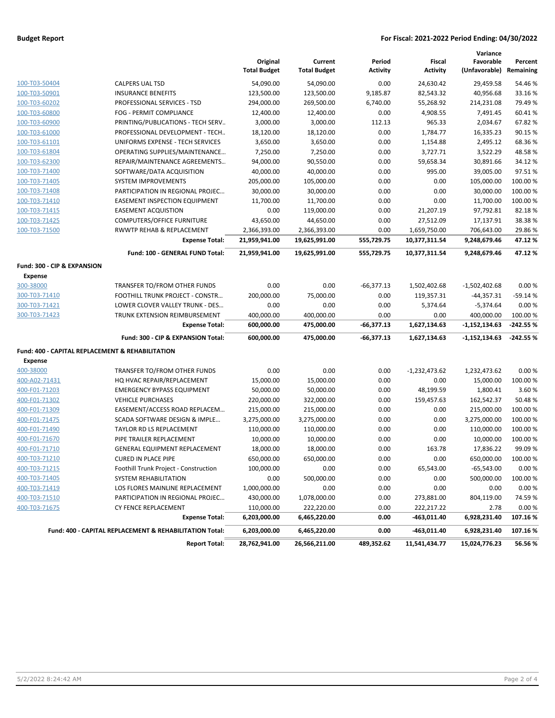### **Budget Report For Fiscal: 2021-2022 Period Ending: 04/30/2022**

|                                                             |                                                         | Original<br><b>Total Budget</b> | Current<br><b>Total Budget</b> | Period<br><b>Activity</b> | Fiscal<br><b>Activity</b> | Variance<br>Favorable<br>(Unfavorable) | Percent<br>Remaining |
|-------------------------------------------------------------|---------------------------------------------------------|---------------------------------|--------------------------------|---------------------------|---------------------------|----------------------------------------|----------------------|
| 100-T03-50404                                               | <b>CALPERS UAL TSD</b>                                  | 54,090.00                       | 54,090.00                      | 0.00                      | 24,630.42                 | 29,459.58                              | 54.46%               |
| 100-T03-50901                                               | <b>INSURANCE BENEFITS</b>                               | 123,500.00                      | 123,500.00                     | 9,185.87                  | 82,543.32                 | 40,956.68                              | 33.16%               |
| 100-T03-60202                                               | PROFESSIONAL SERVICES - TSD                             | 294,000.00                      | 269,500.00                     | 6,740.00                  | 55,268.92                 | 214,231.08                             | 79.49%               |
| 100-T03-60800                                               | FOG - PERMIT COMPLIANCE                                 | 12,400.00                       | 12,400.00                      | 0.00                      | 4,908.55                  | 7,491.45                               | 60.41%               |
| 100-T03-60900                                               | PRINTING/PUBLICATIONS - TECH SERV                       | 3,000.00                        | 3,000.00                       | 112.13                    | 965.33                    | 2,034.67                               | 67.82%               |
| 100-T03-61000                                               | PROFESSIONAL DEVELOPMENT - TECH                         | 18,120.00                       | 18,120.00                      | 0.00                      | 1,784.77                  | 16,335.23                              | 90.15%               |
| 100-T03-61101                                               | UNIFORMS EXPENSE - TECH SERVICES                        | 3,650.00                        | 3,650.00                       | 0.00                      | 1,154.88                  | 2,495.12                               | 68.36%               |
| 100-T03-61804                                               | OPERATING SUPPLIES/MAINTENANCE                          | 7,250.00                        | 7,250.00                       | 0.00                      | 3,727.71                  | 3,522.29                               | 48.58%               |
| 100-T03-62300                                               | REPAIR/MAINTENANCE AGREEMENTS                           | 94,000.00                       | 90,550.00                      | 0.00                      | 59,658.34                 | 30,891.66                              | 34.12%               |
| 100-T03-71400                                               | SOFTWARE/DATA ACQUISITION                               | 40,000.00                       | 40,000.00                      | 0.00                      | 995.00                    | 39,005.00                              | 97.51%               |
| 100-T03-71405                                               | <b>SYSTEM IMPROVEMENTS</b>                              | 205,000.00                      | 105,000.00                     | 0.00                      | 0.00                      | 105,000.00                             | 100.00 %             |
| 100-T03-71408                                               | PARTICIPATION IN REGIONAL PROJEC                        | 30,000.00                       | 30,000.00                      | 0.00                      | 0.00                      | 30,000.00                              | 100.00%              |
| 100-T03-71410                                               | <b>EASEMENT INSPECTION EQUIPMENT</b>                    | 11,700.00                       | 11,700.00                      | 0.00                      | 0.00                      | 11,700.00                              | 100.00%              |
| 100-T03-71415                                               | <b>EASEMENT ACQUISTION</b>                              | 0.00                            | 119,000.00                     | 0.00                      | 21,207.19                 | 97,792.81                              | 82.18%               |
| 100-T03-71425                                               | COMPUTERS/OFFICE FURNITURE                              | 43,650.00                       | 44,650.00                      | 0.00                      | 27,512.09                 | 17,137.91                              | 38.38%               |
| 100-T03-71500                                               | RWWTP REHAB & REPLACEMENT                               | 2,366,393.00                    | 2,366,393.00                   | 0.00                      | 1,659,750.00              | 706,643.00                             | 29.86%               |
|                                                             | <b>Expense Total:</b>                                   | 21,959,941.00                   | 19,625,991.00                  | 555,729.75                | 10,377,311.54             | 9,248,679.46                           | 47.12%               |
|                                                             | Fund: 100 - GENERAL FUND Total:                         | 21,959,941.00                   | 19,625,991.00                  | 555,729.75                | 10,377,311.54             | 9,248,679.46                           | 47.12%               |
| Fund: 300 - CIP & EXPANSION                                 |                                                         |                                 |                                |                           |                           |                                        |                      |
| <b>Expense</b>                                              |                                                         |                                 |                                |                           |                           |                                        |                      |
| 300-38000                                                   | TRANSFER TO/FROM OTHER FUNDS                            | 0.00                            | 0.00                           | $-66,377.13$              | 1,502,402.68              | $-1,502,402.68$                        | 0.00%                |
| 300-T03-71410                                               | <b>FOOTHILL TRUNK PROJECT - CONSTR</b>                  | 200,000.00                      | 75,000.00                      | 0.00                      | 119,357.31                | $-44,357.31$                           | $-59.14%$            |
| 300-T03-71421                                               | LOWER CLOVER VALLEY TRUNK - DES                         | 0.00                            | 0.00                           | 0.00                      | 5,374.64                  | $-5,374.64$                            | 0.00%                |
| 300-T03-71423                                               | TRUNK EXTENSION REIMBURSEMENT                           | 400,000.00                      | 400,000.00                     | 0.00                      | 0.00                      | 400,000.00                             | 100.00%              |
|                                                             | <b>Expense Total:</b>                                   | 600,000.00                      | 475,000.00                     | -66,377.13                | 1,627,134.63              | $-1,152,134.63$                        | -242.55 %            |
|                                                             | Fund: 300 - CIP & EXPANSION Total:                      | 600,000.00                      | 475,000.00                     | -66,377.13                | 1,627,134.63              | $-1,152,134.63$                        | $-242.55%$           |
| <b>Fund: 400 - CAPITAL REPLACEMENT &amp; REHABILITATION</b> |                                                         |                                 |                                |                           |                           |                                        |                      |
| <b>Expense</b>                                              |                                                         |                                 |                                |                           |                           |                                        |                      |
| 400-38000                                                   | TRANSFER TO/FROM OTHER FUNDS                            | 0.00                            | 0.00                           | 0.00                      | $-1,232,473.62$           | 1,232,473.62                           | 0.00%                |
| 400-A02-71431                                               | HQ HVAC REPAIR/REPLACEMENT                              | 15,000.00                       | 15,000.00                      | 0.00                      | 0.00                      | 15,000.00                              | 100.00%              |
| 400-F01-71203                                               | <b>EMERGENCY BYPASS EQUIPMENT</b>                       | 50,000.00                       | 50,000.00                      | 0.00                      | 48,199.59                 | 1,800.41                               | 3.60%                |
| 400-F01-71302                                               | <b>VEHICLE PURCHASES</b>                                | 220,000.00                      | 322,000.00                     | 0.00                      | 159,457.63                | 162,542.37                             | 50.48%               |
| 400-F01-71309                                               | EASEMENT/ACCESS ROAD REPLACEM                           | 215,000.00                      | 215,000.00                     | 0.00                      | 0.00                      | 215,000.00                             | 100.00 %             |
| 400-F01-71475                                               | SCADA SOFTWARE DESIGN & IMPLE                           | 3,275,000.00                    | 3,275,000.00                   | 0.00                      | 0.00                      | 3,275,000.00                           | 100.00%              |
| 400-F01-71490                                               | TAYLOR RD LS REPLACEMENT                                | 110,000.00                      | 110,000.00                     | 0.00                      | 0.00                      | 110,000.00                             | 100.00%              |
| 400-F01-71670                                               | PIPE TRAILER REPLACEMENT                                | 10,000.00                       | 10,000.00                      | 0.00                      | 0.00                      | 10,000.00                              | 100.00 %             |
| 400-F01-71710                                               | <b>GENERAL EQUIPMENT REPLACEMENT</b>                    | 18,000.00                       | 18,000.00                      | 0.00                      | 163.78                    | 17,836.22                              | 99.09%               |
| 400-T03-71210                                               | <b>CURED IN PLACE PIPE</b>                              | 650,000.00                      | 650,000.00                     | 0.00                      | 0.00                      | 650,000.00                             | 100.00 %             |
| 400-T03-71215                                               | Foothill Trunk Project - Construction                   | 100,000.00                      | 0.00                           | 0.00                      | 65,543.00                 | $-65,543.00$                           | 0.00%                |
| 400-T03-71405                                               | SYSTEM REHABILITATION                                   | 0.00                            | 500,000.00                     | 0.00                      | 0.00                      | 500,000.00                             | 100.00 %             |
| 400-T03-71419                                               | LOS FLORES MAINLINE REPLACEMENT                         | 1,000,000.00                    | 0.00                           | 0.00                      | 0.00                      | 0.00                                   | 0.00%                |
| 400-T03-71510                                               | PARTICIPATION IN REGIONAL PROJEC                        | 430,000.00                      | 1,078,000.00                   | 0.00                      | 273,881.00                | 804,119.00                             | 74.59%               |
| 400-T03-71675                                               | CY FENCE REPLACEMENT                                    | 110,000.00                      | 222,220.00                     | 0.00                      | 222,217.22                | 2.78                                   | 0.00%                |
|                                                             | <b>Expense Total:</b>                                   | 6,203,000.00                    | 6,465,220.00                   | 0.00                      | -463,011.40               | 6,928,231.40                           | 107.16%              |
|                                                             | Fund: 400 - CAPITAL REPLACEMENT & REHABILITATION Total: | 6,203,000.00                    | 6,465,220.00                   | 0.00                      | -463,011.40               | 6,928,231.40                           | 107.16%              |
|                                                             | <b>Report Total:</b>                                    | 28,762,941.00                   | 26,566,211.00                  | 489,352.62                | 11,541,434.77             | 15,024,776.23                          | 56.56%               |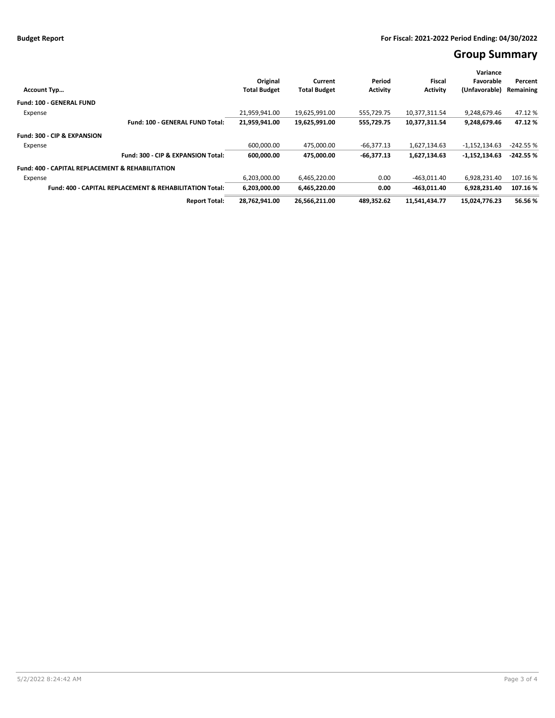# **Group Summary**

|                                                                    |                     |                     |                 |                 | Variance        |            |
|--------------------------------------------------------------------|---------------------|---------------------|-----------------|-----------------|-----------------|------------|
|                                                                    | Original            | Current             | Period          | Fiscal          | Favorable       | Percent    |
| <b>Account Typ</b>                                                 | <b>Total Budget</b> | <b>Total Budget</b> | <b>Activity</b> | <b>Activity</b> | (Unfavorable)   | Remaining  |
| <b>Fund: 100 - GENERAL FUND</b>                                    |                     |                     |                 |                 |                 |            |
| Expense                                                            | 21.959.941.00       | 19.625.991.00       | 555,729.75      | 10,377,311.54   | 9.248.679.46    | 47.12 %    |
| Fund: 100 - GENERAL FUND Total:                                    | 21,959,941.00       | 19,625,991.00       | 555,729.75      | 10,377,311.54   | 9,248,679.46    | 47.12%     |
| <b>Fund: 300 - CIP &amp; EXPANSION</b>                             |                     |                     |                 |                 |                 |            |
| Expense                                                            | 600,000.00          | 475,000.00          | $-66.377.13$    | 1,627,134.63    | $-1,152,134.63$ | $-242.55%$ |
| Fund: 300 - CIP & EXPANSION Total:                                 | 600.000.00          | 475.000.00          | $-66.377.13$    | 1,627,134.63    | $-1,152,134.63$ | $-242.55%$ |
| <b>Fund: 400 - CAPITAL REPLACEMENT &amp; REHABILITATION</b>        |                     |                     |                 |                 |                 |            |
| Expense                                                            | 6,203,000.00        | 6,465,220.00        | 0.00            | $-463,011.40$   | 6,928,231.40    | 107.16%    |
| <b>Fund: 400 - CAPITAL REPLACEMENT &amp; REHABILITATION Total:</b> | 6,203,000.00        | 6,465,220.00        | 0.00            | $-463.011.40$   | 6,928,231.40    | 107.16%    |
| <b>Report Total:</b>                                               | 28,762,941.00       | 26,566,211.00       | 489.352.62      | 11,541,434.77   | 15,024,776.23   | 56.56%     |
|                                                                    |                     |                     |                 |                 |                 |            |